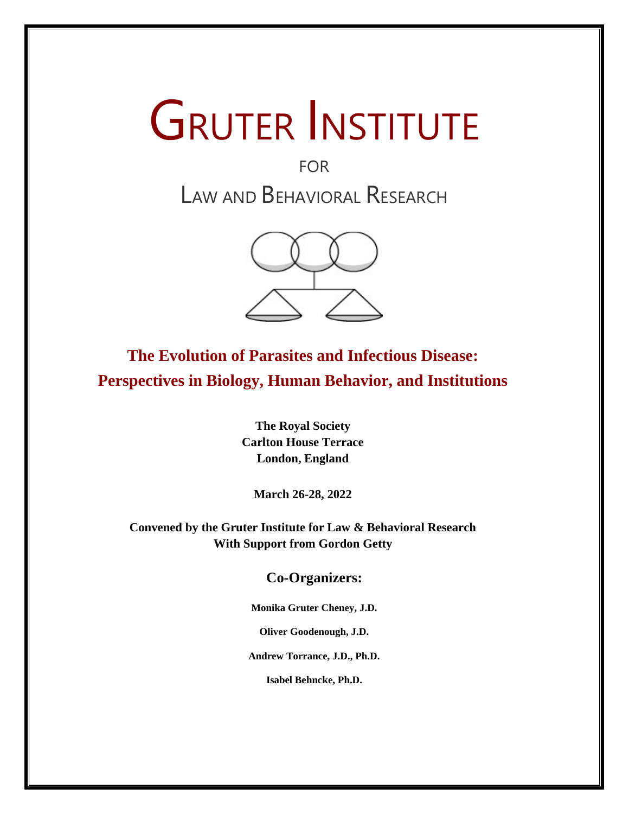# **GRUTER INSTITUTE**

# FOR LAW AND BEHAVIORAL RESEARCH



**The Evolution of Parasites and Infectious Disease: Perspectives in Biology, Human Behavior, and Institutions**

> **The Royal Society Carlton House Terrace London, England**

**March 26-28, 2022**

**Convened by the Gruter Institute for Law & Behavioral Research With Support from Gordon Getty**

**Co-Organizers:**

**Monika Gruter Cheney, J.D.** 

**Oliver Goodenough, J.D.**

**Andrew Torrance, J.D., Ph.D.**

**Isabel Behncke, Ph.D.**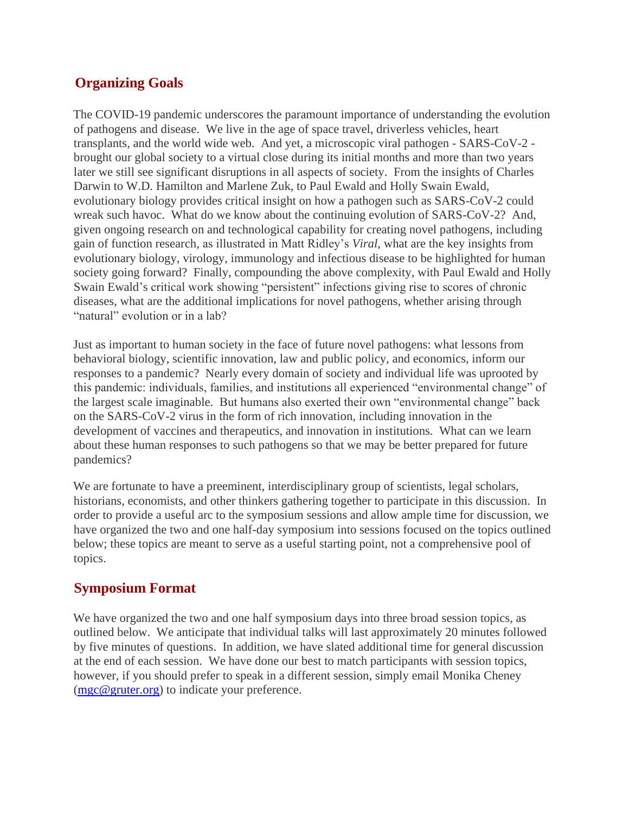# **Organizing Goals**

The COVID-19 pandemic underscores the paramount importance of understanding the evolution of pathogens and disease. We live in the age of space travel, driverless vehicles, heart transplants, and the world wide web. And yet, a microscopic viral pathogen - SARS-CoV-2 brought our global society to a virtual close during its initial months and more than two years later we still see significant disruptions in all aspects of society. From the insights of Charles Darwin to W.D. Hamilton and Marlene Zuk, to Paul Ewald and Holly Swain Ewald, evolutionary biology provides critical insight on how a pathogen such as SARS-CoV-2 could wreak such havoc. What do we know about the continuing evolution of SARS-CoV-2? And, given ongoing research on and technological capability for creating novel pathogens, including gain of function research, as illustrated in Matt Ridley's *Viral*, what are the key insights from evolutionary biology, virology, immunology and infectious disease to be highlighted for human society going forward? Finally, compounding the above complexity, with Paul Ewald and Holly Swain Ewald's critical work showing "persistent" infections giving rise to scores of chronic diseases, what are the additional implications for novel pathogens, whether arising through "natural" evolution or in a lab?

Just as important to human society in the face of future novel pathogens: what lessons from behavioral biology, scientific innovation, law and public policy, and economics, inform our responses to a pandemic? Nearly every domain of society and individual life was uprooted by this pandemic: individuals, families, and institutions all experienced "environmental change" of the largest scale imaginable. But humans also exerted their own "environmental change" back on the SARS-CoV-2 virus in the form of rich innovation, including innovation in the development of vaccines and therapeutics, and innovation in institutions. What can we learn about these human responses to such pathogens so that we may be better prepared for future pandemics?

We are fortunate to have a preeminent, interdisciplinary group of scientists, legal scholars, historians, economists, and other thinkers gathering together to participate in this discussion. In order to provide a useful arc to the symposium sessions and allow ample time for discussion, we have organized the two and one half-day symposium into sessions focused on the topics outlined below; these topics are meant to serve as a useful starting point, not a comprehensive pool of topics.

# **Symposium Format**

We have organized the two and one half symposium days into three broad session topics, as outlined below. We anticipate that individual talks will last approximately 20 minutes followed by five minutes of questions. In addition, we have slated additional time for general discussion at the end of each session. We have done our best to match participants with session topics, however, if you should prefer to speak in a different session, simply email Monika Cheney (mgc@gruter.org) to indicate your preference.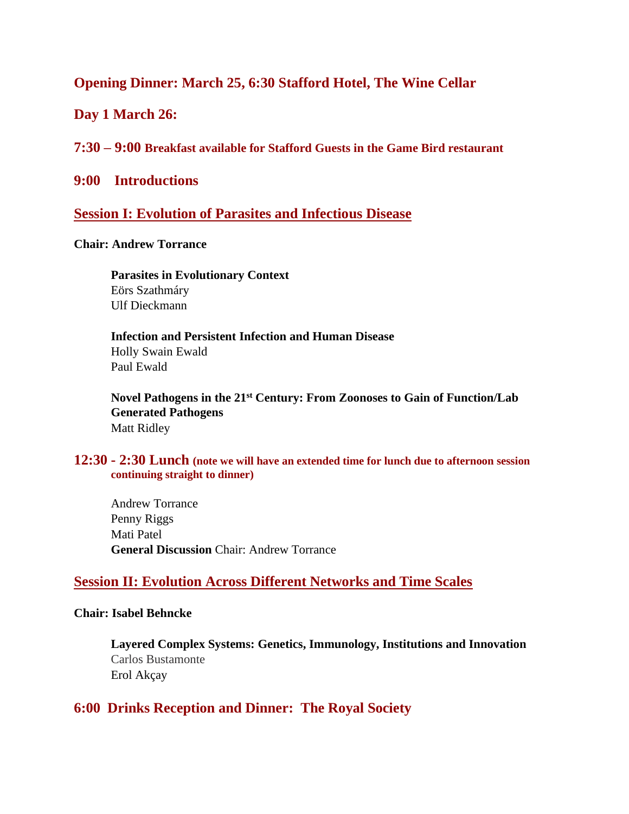# **Opening Dinner: March 25, 6:30 Stafford Hotel, The Wine Cellar**

**Day 1 March 26:**

**7:30 – 9:00 Breakfast available for Stafford Guests in the Game Bird restaurant**

**9:00 Introductions**

#### **Session I: Evolution of Parasites and Infectious Disease**

#### **Chair: Andrew Torrance**

**Parasites in Evolutionary Context** Eörs Szathmáry Ulf Dieckmann

**Infection and Persistent Infection and Human Disease** Holly Swain Ewald Paul Ewald

**Novel Pathogens in the 21st Century: From Zoonoses to Gain of Function/Lab Generated Pathogens** Matt Ridley

#### **12:30 - 2:30 Lunch (note we will have an extended time for lunch due to afternoon session continuing straight to dinner)**

Andrew Torrance Penny Riggs Mati Patel **General Discussion** Chair: Andrew Torrance

### **Session II: Evolution Across Different Networks and Time Scales**

#### **Chair: Isabel Behncke**

**Layered Complex Systems: Genetics, Immunology, Institutions and Innovation** Carlos Bustamonte Erol Akçay

# **6:00 Drinks Reception and Dinner: The Royal Society**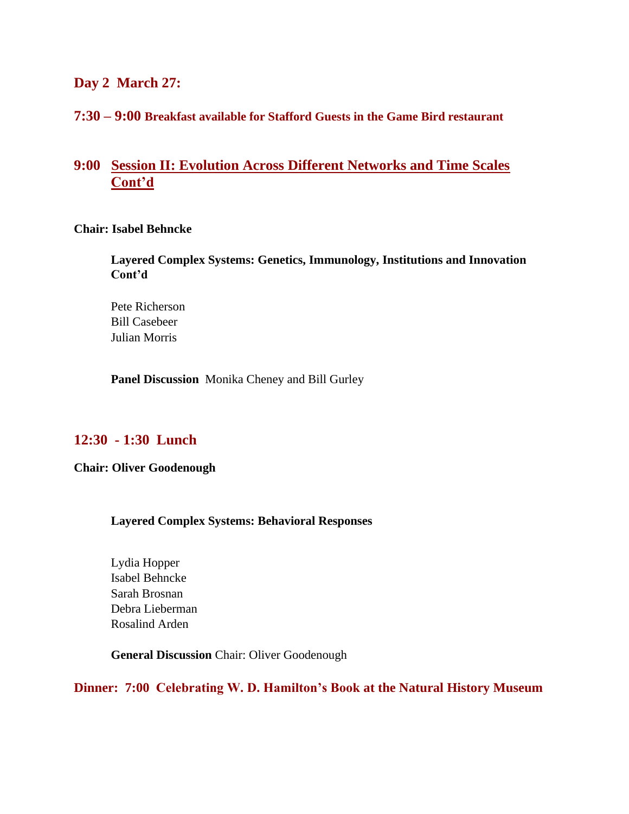#### **Day 2 March 27:**

#### **7:30 – 9:00 Breakfast available for Stafford Guests in the Game Bird restaurant**

# **9:00 Session II: Evolution Across Different Networks and Time Scales Cont'd**

#### **Chair: Isabel Behncke**

**Layered Complex Systems: Genetics, Immunology, Institutions and Innovation Cont'd**

Pete Richerson Bill Casebeer Julian Morris

**Panel Discussion** Monika Cheney and Bill Gurley

# **12:30 - 1:30 Lunch**

**Chair: Oliver Goodenough**

#### **Layered Complex Systems: Behavioral Responses**

Lydia Hopper Isabel Behncke Sarah Brosnan Debra Lieberman Rosalind Arden

**General Discussion** Chair: Oliver Goodenough

**Dinner: 7:00 Celebrating W. D. Hamilton's Book at the Natural History Museum**